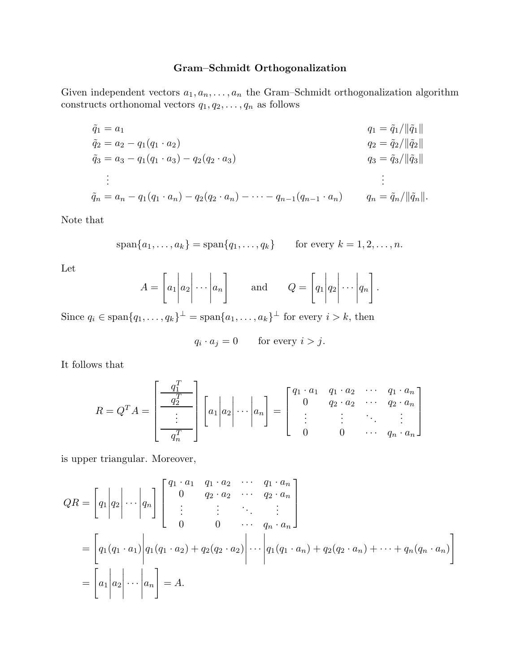## Gram–Schmidt Orthogonalization

Given independent vectors  $a_1, a_n, \ldots, a_n$  the Gram–Schmidt orthogonalization algorithm constructs orthonomal vectors  $q_1, q_2, \ldots, q_n$  as follows

$$
\tilde{q}_1 = a_1
$$
\n
$$
\tilde{q}_2 = a_2 - q_1(q_1 \cdot a_2)
$$
\n
$$
\tilde{q}_3 = a_3 - q_1(q_1 \cdot a_3) - q_2(q_2 \cdot a_3)
$$
\n
$$
\vdots
$$
\n
$$
\tilde{q}_n = a_n - q_1(q_1 \cdot a_n) - q_2(q_2 \cdot a_n) - \dots - q_{n-1}(q_{n-1} \cdot a_n)
$$
\n
$$
q_n = \tilde{q}_n / ||\tilde{q}_n||.
$$

Note that

$$
\text{span}\{a_1,\ldots,a_k\}=\text{span}\{q_1,\ldots,q_k\}\qquad\text{for every }k=1,2,\ldots,n.
$$

Let

$$
A = \begin{bmatrix} a_1 & a_2 & \cdots & a_n \end{bmatrix} \quad \text{and} \quad Q = \begin{bmatrix} q_1 & q_2 & \cdots & q_n \end{bmatrix}.
$$

Since  $q_i \in \text{span}\{q_1, \ldots, q_k\}^{\perp} = \text{span}\{a_1, \ldots, a_k\}^{\perp}$  for every  $i > k$ , then

$$
q_i \cdot a_j = 0 \qquad \text{for every } i > j.
$$

It follows that

$$
R = Q^{T} A = \begin{bmatrix} \frac{q_{1}^{T}}{1} \\ \frac{q_{2}^{T}}{1} \\ \vdots \\ \frac{q_{n}^{T}}{1} \end{bmatrix} \begin{bmatrix} a_{1} | a_{2} | \cdots | a_{n} \end{bmatrix} = \begin{bmatrix} q_{1} \cdot a_{1} & q_{1} \cdot a_{2} & \cdots & q_{1} \cdot a_{n} \\ 0 & q_{2} \cdot a_{2} & \cdots & q_{2} \cdot a_{n} \\ \vdots & \vdots & \ddots & \vdots \\ 0 & 0 & \cdots & q_{n} \cdot a_{n} \end{bmatrix}
$$

is upper triangular. Moreover,

$$
QR = \begin{bmatrix} q_1 | q_2 | \cdots | q_n \end{bmatrix} \begin{bmatrix} q_1 \cdot a_1 & q_1 \cdot a_2 & \cdots & q_1 \cdot a_n \\ 0 & q_2 \cdot a_2 & \cdots & q_2 \cdot a_n \\ \vdots & \vdots & \ddots & \vdots \\ 0 & 0 & \cdots & q_n \cdot a_n \end{bmatrix}
$$
  
= 
$$
\begin{bmatrix} q_1 (q_1 \cdot a_1) | q_1 (q_1 \cdot a_2) + q_2 (q_2 \cdot a_2) | \cdots | q_1 (q_1 \cdot a_n) + q_2 (q_2 \cdot a_n) + \cdots + q_n (q_n \cdot a_n) \end{bmatrix}
$$
  
= 
$$
\begin{bmatrix} a_1 | a_2 | \cdots | a_n \end{bmatrix} = A.
$$